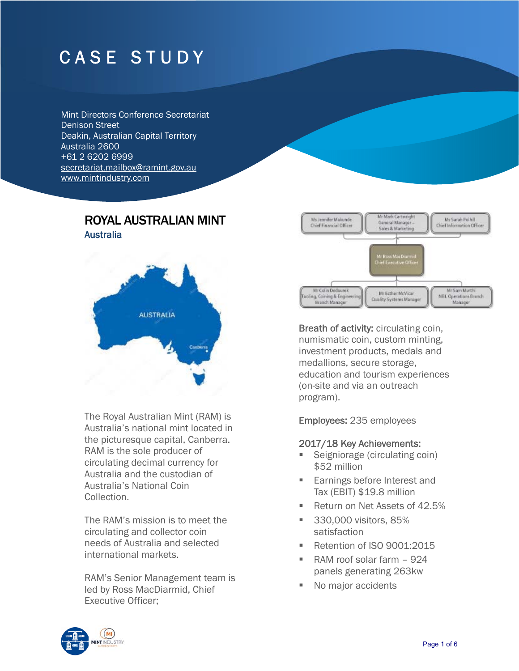# CASE STUDY

Mint Directors Conference Secretariat Denison Street Deakin, Australian Capital Territory Australia 2600 +61 2 6202 6999 secretariat.mailbox@ramint.gov.au www.mintindustry.com

# ROYAL AUSTRALIAN MINT **Australia**



The Royal Australian Mint (RAM) is Australia's national mint located in the picturesque capital, Canberra. RAM is the sole producer of circulating decimal currency for Australia and the custodian of Australia's National Coin Collection.

The RAM's mission is to meet the circulating and collector coin needs of Australia and selected international markets.

RAM's Senior Management team is led by Ross MacDiarmid, Chief Executive Officer;



Breath of activity: circulating coin, numismatic coin, custom minting, investment products, medals and medallions, secure storage, education and tourism experiences (on-site and via an outreach program).

Employees: 235 employees

#### 2017/18 Key Achievements:

- Seigniorage (circulating coin) \$52 million
- **Earnings before Interest and** Tax (EBIT) \$19.8 million
- Return on Net Assets of 42.5%
- **330,000 visitors, 85%** satisfaction
- Retention of ISO 9001:2015
- RAM roof solar farm 924 panels generating 263kw
- No major accidents

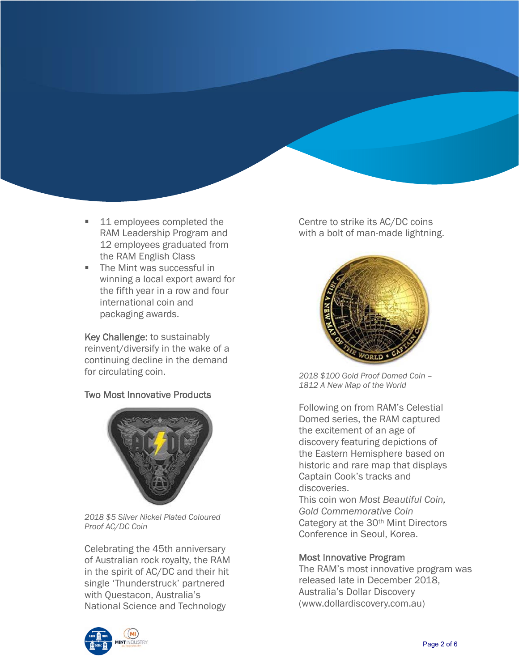- 11 employees completed the RAM Leadership Program and 12 employees graduated from the RAM English Class
- The Mint was successful in winning a local export award for the fifth year in a row and four international coin and packaging awards.

Key Challenge: to sustainably reinvent/diversify in the wake of a continuing decline in the demand for circulating coin.

## Two Most Innovative Products



 *2018 \$5 Silver Nickel Plated Coloured Proof AC/DC Coin* 

Celebrating the 45th anniversary of Australian rock royalty, the RAM in the spirit of AC/DC and their hit single 'Thunderstruck' partnered with Questacon, Australia's National Science and Technology



Centre to strike its AC/DC coins with a bolt of man-made lightning.



*2018 \$100 Gold Proof Domed Coin – 1812 A New Map of the World* 

Following on from RAM's Celestial Domed series, the RAM captured the excitement of an age of discovery featuring depictions of the Eastern Hemisphere based on historic and rare map that displays Captain Cook's tracks and discoveries.

This coin won *Most Beautiful Coin, Gold Commemorative Coin* Category at the 30<sup>th</sup> Mint Directors Conference in Seoul, Korea.

#### Most Innovative Program

The RAM's most innovative program was released late in December 2018, Australia's Dollar Discovery (www.dollardiscovery.com.au)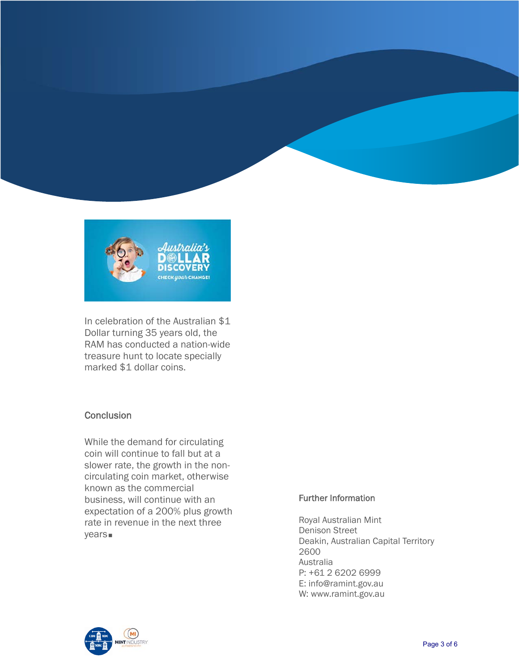



In celebration of the Australian \$1 Dollar turning 35 years old, the RAM has conducted a nation-wide treasure hunt to locate specially marked \$1 dollar coins.

## **Conclusion**

While the demand for circulating coin will continue to fall but at a slower rate, the growth in the noncirculating coin market, otherwise known as the commercial business, will continue with an expectation of a 200% plus growth rate in revenue in the next three years

#### Further Information

Royal Australian Mint Denison Street Deakin, Australian Capital Territory 2600 Australia P: +61 2 6202 6999 E: info@ramint.gov.au W: www.ramint.gov.au

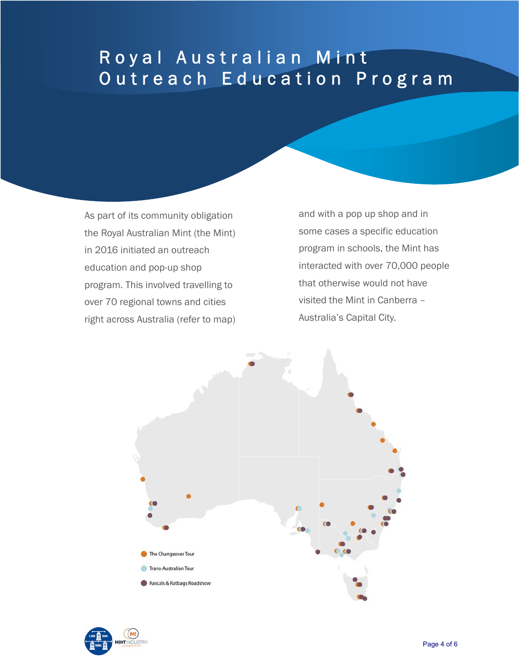# Royal Australian Mint Ĺ Outreach Education Program

As part of its community obligation the Royal Australian Mint (the Mint) in 2016 initiated an outreach education and pop-up shop program. This involved travelling to over 70 regional towns and cities right across Australia (refer to map)

í

and with a pop up shop and in some cases a specific education program in schools, the Mint has interacted with over 70,000 people that otherwise would not have visited the Mint in Canberra – Australia's Capital City.



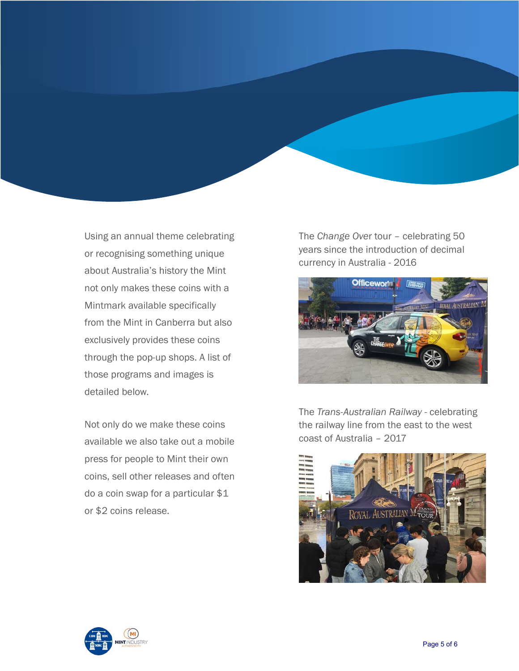Using an annual theme celebrating or recognising something unique about Australia's history the Mint not only makes these coins with a Mintmark available specifically from the Mint in Canberra but also exclusively provides these coins through the pop-up shops. A list of those programs and images is detailed below.

Not only do we make these coins available we also take out a mobile press for people to Mint their own coins, sell other releases and often do a coin swap for a particular \$1 or \$2 coins release.

The *Change Ove*r tour – celebrating 50 years since the introduction of decimal currency in Australia - 2016



The *Trans-Australian Railway* - celebrating the railway line from the east to the west coast of Australia – 2017